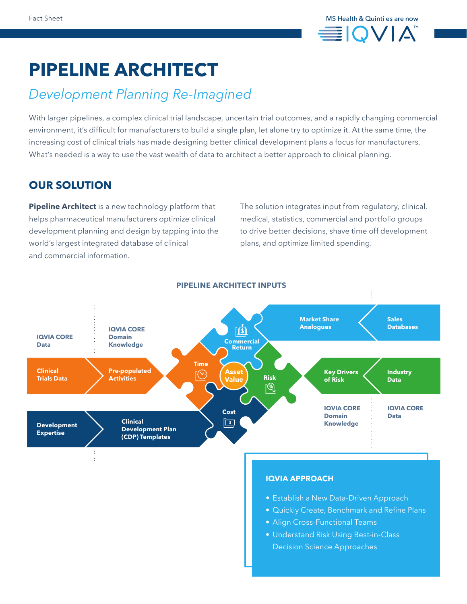

# **PIPELINE ARCHITECT**

# *Development Planning Re-Imagined*

With larger pipelines, a complex clinical trial landscape, uncertain trial outcomes, and a rapidly changing commercial environment, it's difficult for manufacturers to build a single plan, let alone try to optimize it. At the same time, the increasing cost of clinical trials has made designing better clinical development plans a focus for manufacturers. What's needed is a way to use the vast wealth of data to architect a better approach to clinical planning.

# **OUR SOLUTION**

**Pipeline Architect** is a new technology platform that helps pharmaceutical manufacturers optimize clinical development planning and design by tapping into the world's largest integrated database of clinical and commercial information.

The solution integrates input from regulatory, clinical, medical, statistics, commercial and portfolio groups to drive better decisions, shave time off development plans, and optimize limited spending.



#### **PIPELINE ARCHITECT INPUTS**